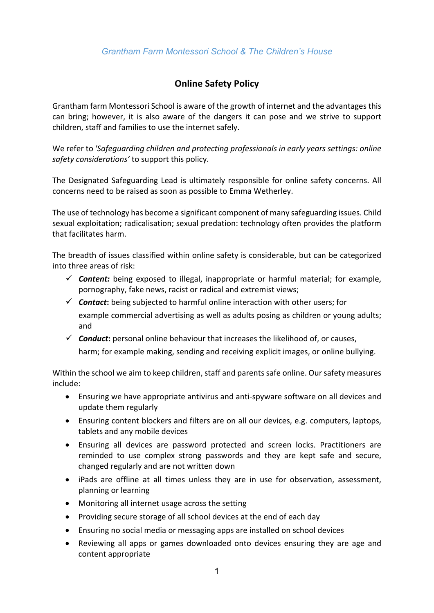## *Grantham Farm Montessori School & The Children's House*

## **Online Safety Policy**

Grantham farm Montessori School is aware of the growth of internet and the advantages this can bring; however, it is also aware of the dangers it can pose and we strive to support children, staff and families to use the internet safely.

We refer to *'Safeguarding children and protecting professionals in early years settings: online safety considerations'* to support this policy.

The Designated Safeguarding Lead is ultimately responsible for online safety concerns. All concerns need to be raised as soon as possible to Emma Wetherley.

The use of technology has become a significant component of many safeguarding issues. Child sexual exploitation; radicalisation; sexual predation: technology often provides the platform that facilitates harm.

The breadth of issues classified within online safety is considerable, but can be categorized into three areas of risk:

- $\checkmark$  Content: being exposed to illegal, inappropriate or harmful material; for example, pornography, fake news, racist or radical and extremist views;
- $\checkmark$  **Contact:** being subjected to harmful online interaction with other users; for example commercial advertising as well as adults posing as children or young adults; and
- $\checkmark$  **Conduct**: personal online behaviour that increases the likelihood of, or causes, harm; for example making, sending and receiving explicit images, or online bullying.

Within the school we aim to keep children, staff and parents safe online. Our safety measures include:

- Ensuring we have appropriate antivirus and anti-spyware software on all devices and update them regularly
- Ensuring content blockers and filters are on all our devices, e.g. computers, laptops, tablets and any mobile devices
- Ensuring all devices are password protected and screen locks. Practitioners are reminded to use complex strong passwords and they are kept safe and secure, changed regularly and are not written down
- iPads are offline at all times unless they are in use for observation, assessment, planning or learning
- Monitoring all internet usage across the setting
- Providing secure storage of all school devices at the end of each day
- Ensuring no social media or messaging apps are installed on school devices
- Reviewing all apps or games downloaded onto devices ensuring they are age and content appropriate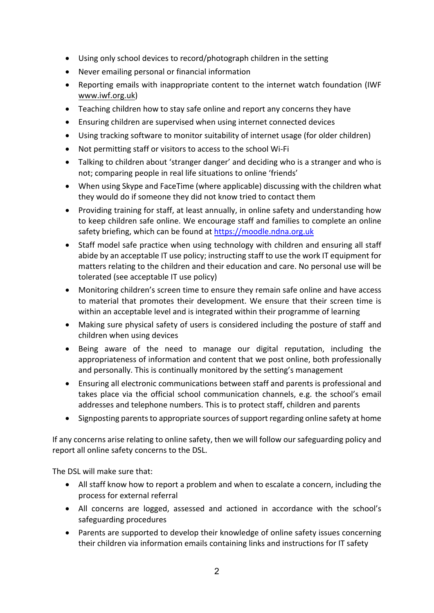- Using only school devices to record/photograph children in the setting
- Never emailing personal or financial information
- Reporting emails with inappropriate content to the internet watch foundation (IWF www.iwf.org.uk)
- Teaching children how to stay safe online and report any concerns they have
- Ensuring children are supervised when using internet connected devices
- Using tracking software to monitor suitability of internet usage (for older children)
- Not permitting staff or visitors to access to the school Wi-Fi
- Talking to children about 'stranger danger' and deciding who is a stranger and who is not; comparing people in real life situations to online 'friends'
- When using Skype and FaceTime (where applicable) discussing with the children what they would do if someone they did not know tried to contact them
- Providing training for staff, at least annually, in online safety and understanding how to keep children safe online. We encourage staff and families to complete an online safety briefing, which can be found at https://moodle.ndna.org.uk
- Staff model safe practice when using technology with children and ensuring all staff abide by an acceptable IT use policy; instructing staff to use the work IT equipment for matters relating to the children and their education and care. No personal use will be tolerated (see acceptable IT use policy)
- Monitoring children's screen time to ensure they remain safe online and have access to material that promotes their development. We ensure that their screen time is within an acceptable level and is integrated within their programme of learning
- Making sure physical safety of users is considered including the posture of staff and children when using devices
- Being aware of the need to manage our digital reputation, including the appropriateness of information and content that we post online, both professionally and personally. This is continually monitored by the setting's management
- Ensuring all electronic communications between staff and parents is professional and takes place via the official school communication channels, e.g. the school's email addresses and telephone numbers. This is to protect staff, children and parents
- Signposting parents to appropriate sources of support regarding online safety at home

If any concerns arise relating to online safety, then we will follow our safeguarding policy and report all online safety concerns to the DSL.

The DSL will make sure that:

- All staff know how to report a problem and when to escalate a concern, including the process for external referral
- All concerns are logged, assessed and actioned in accordance with the school's safeguarding procedures
- Parents are supported to develop their knowledge of online safety issues concerning their children via information emails containing links and instructions for IT safety